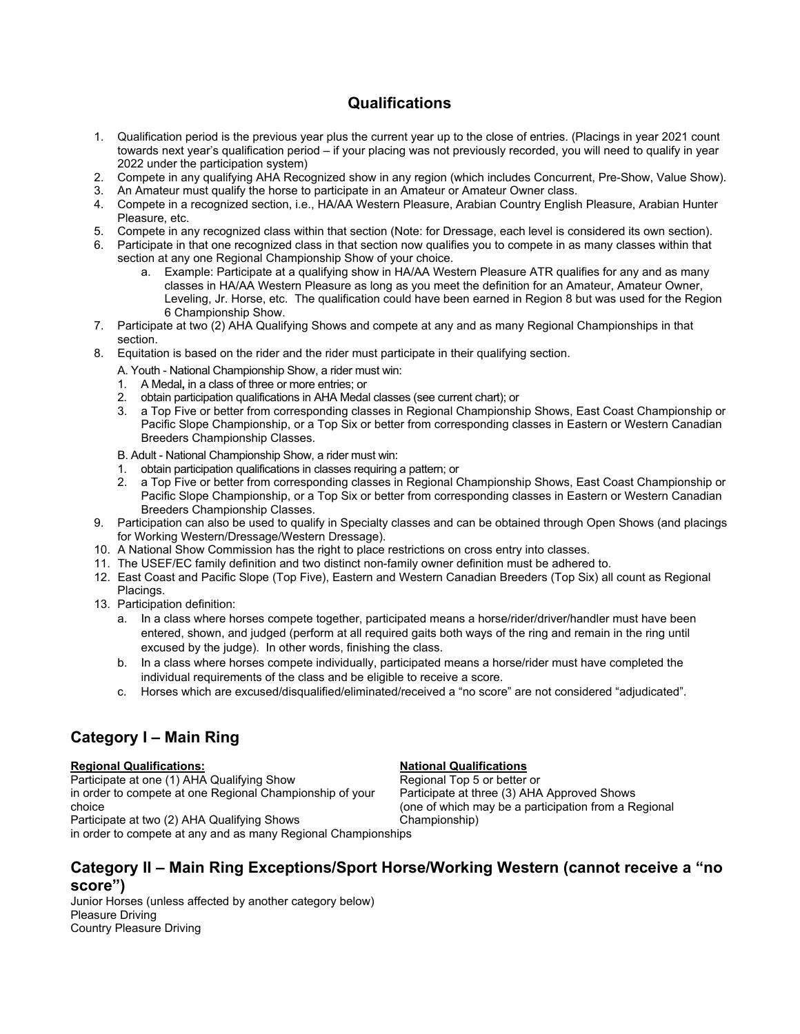## **Qualifications**

- 1. Qualification period is the previous year plus the current year up to the close of entries. (Placings in year 2021 count towards next year's qualification period – if your placing was not previously recorded, you will need to qualify in year 2022 under the participation system)
- 2. Compete in any qualifying AHA Recognized show in any region (which includes Concurrent, Pre-Show, Value Show).
- 3. An Amateur must qualify the horse to participate in an Amateur or Amateur Owner class.
- 4. Compete in a recognized section, i.e., HA/AA Western Pleasure, Arabian Country English Pleasure, Arabian Hunter Pleasure, etc.
- 5. Compete in any recognized class within that section (Note: for Dressage, each level is considered its own section).
- 6. Participate in that one recognized class in that section now qualifies you to compete in as many classes within that section at any one Regional Championship Show of your choice.
	- a. Example: Participate at a qualifying show in HA/AA Western Pleasure ATR qualifies for any and as many classes in HA/AA Western Pleasure as long as you meet the definition for an Amateur, Amateur Owner, Leveling, Jr. Horse, etc. The qualification could have been earned in Region 8 but was used for the Region 6 Championship Show.
- 7. Participate at two (2) AHA Qualifying Shows and compete at any and as many Regional Championships in that section.
- 8. Equitation is based on the rider and the rider must participate in their qualifying section.
	- A. Youth National Championship Show, a rider must win:
	- 1. A Medal**,** in a class of three or more entries; or
	- 2. obtain participation qualifications in AHA Medal classes (see current chart); or
	- 3. a Top Five or better from corresponding classes in Regional Championship Shows, East Coast Championship or Pacific Slope Championship, or a Top Six or better from corresponding classes in Eastern or Western Canadian Breeders Championship Classes.
	- B. Adult National Championship Show, a rider must win:
	- 1. obtain participation qualifications in classes requiring a pattern; or
	- 2. a Top Five or better from corresponding classes in Regional Championship Shows, East Coast Championship or Pacific Slope Championship, or a Top Six or better from corresponding classes in Eastern or Western Canadian Breeders Championship Classes.
- 9. Participation can also be used to qualify in Specialty classes and can be obtained through Open Shows (and placings for Working Western/Dressage/Western Dressage).
- 10. A National Show Commission has the right to place restrictions on cross entry into classes.
- 11. The USEF/EC family definition and two distinct non-family owner definition must be adhered to.
- 12. East Coast and Pacific Slope (Top Five), Eastern and Western Canadian Breeders (Top Six) all count as Regional Placings.
- 13. Participation definition:
	- a. In a class where horses compete together, participated means a horse/rider/driver/handler must have been entered, shown, and judged (perform at all required gaits both ways of the ring and remain in the ring until excused by the judge). In other words, finishing the class.
	- b. In a class where horses compete individually, participated means a horse/rider must have completed the individual requirements of the class and be eligible to receive a score.
	- c. Horses which are excused/disqualified/eliminated/received a "no score" are not considered "adjudicated".

# **Category I – Main Ring**

### **Regional Qualifications:** National Qualifications

Participate at one (1) AHA Qualifying Show Regional Top 5 or better or in order to compete at one Regional Championship of your Participate at three (3) AHA Approved Shows choice (one of which may be a participation from a Regional Participate at two (2) AHA Qualifying Shows Championship)

in order to compete at any and as many Regional Championships

## **Category II – Main Ring Exceptions/Sport Horse/Working Western (cannot receive a "no score")**

Junior Horses (unless affected by another category below) Pleasure Driving Country Pleasure Driving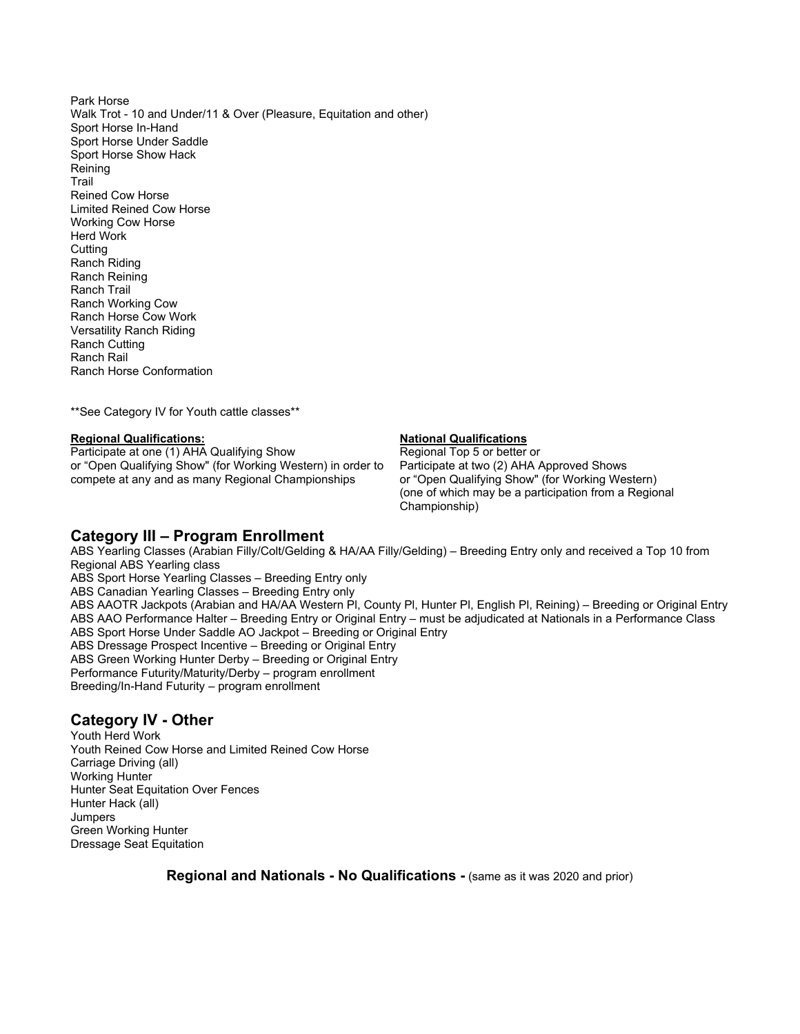Park Horse Walk Trot - 10 and Under/11 & Over (Pleasure, Equitation and other) Sport Horse In-Hand Sport Horse Under Saddle Sport Horse Show Hack Reining Trail Reined Cow Horse Limited Reined Cow Horse Working Cow Horse Herd Work **Cutting** Ranch Riding Ranch Reining Ranch Trail Ranch Working Cow Ranch Horse Cow Work Versatility Ranch Riding Ranch Cutting Ranch Rail Ranch Horse Conformation

\*\*See Category IV for Youth cattle classes\*\*

**Regional Qualifications:**<br> **Participate at one (1) AHA Qualifying Show National Top 5 or better or** Participate at one (1) AHA Qualifying Show Regional Top 5 or better or<br>or "Open Qualifying Show" (for Working Western) in order to Participate at two (2) AHA Approved Shows or "Open Qualifying Show" (for Working Western) in order to compete at any and as many Regional Championships or "Open Qualifying Show" (for Working Western)

 (one of which may be a participation from a Regional Championship)

### **Category III – Program Enrollment**

ABS Yearling Classes (Arabian Filly/Colt/Gelding & HA/AA Filly/Gelding) – Breeding Entry only and received a Top 10 from Regional ABS Yearling class ABS Sport Horse Yearling Classes – Breeding Entry only ABS Canadian Yearling Classes – Breeding Entry only ABS AAOTR Jackpots (Arabian and HA/AA Western Pl, County Pl, Hunter Pl, English Pl, Reining) – Breeding or Original Entry ABS AAO Performance Halter – Breeding Entry or Original Entry – must be adjudicated at Nationals in a Performance Class ABS Sport Horse Under Saddle AO Jackpot – Breeding or Original Entry ABS Dressage Prospect Incentive – Breeding or Original Entry ABS Green Working Hunter Derby – Breeding or Original Entry Performance Futurity/Maturity/Derby – program enrollment Breeding/In-Hand Futurity – program enrollment

## **Category IV - Other**

Youth Herd Work Youth Reined Cow Horse and Limited Reined Cow Horse Carriage Driving (all) Working Hunter Hunter Seat Equitation Over Fences Hunter Hack (all) Jumpers Green Working Hunter Dressage Seat Equitation

**Regional and Nationals - No Qualifications -** (same as it was 2020 and prior)